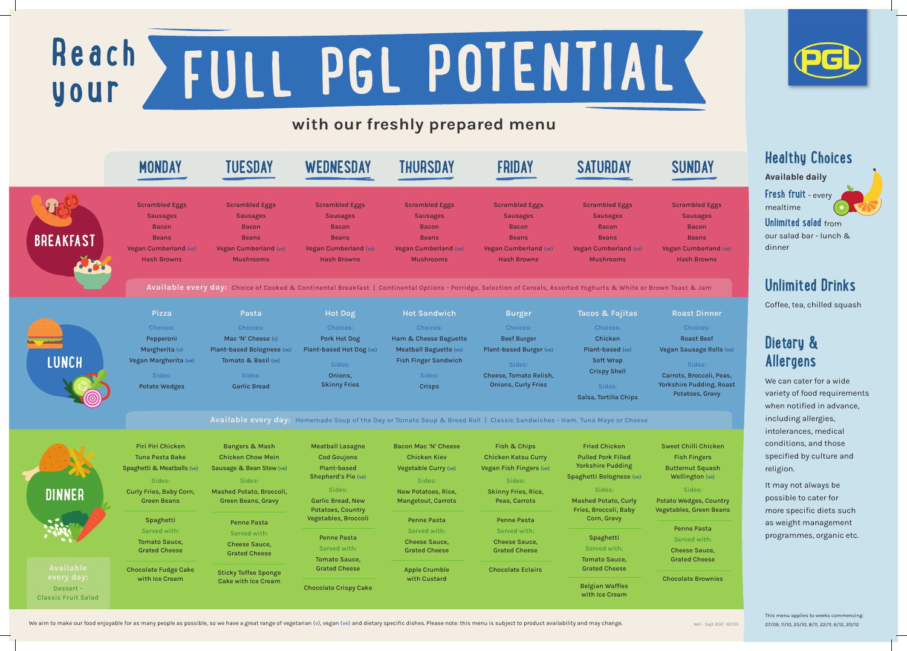## **Healthy Choices**

Available daily

**Fresh fruit** - every mealtime



**Unlimited salad** from our salad bar - lunch & dinner

## **Unlimited Drinks**

Coffee, tea, chilled squash

# **Dietary & Allergens**

We can cater for a wide variety of food requirements when notified in advance, including allergies, intolerances, medical conditions, and those specified by culture and religion.

It may not always be possible to cater for more specific diets such as weight management programmes, organic etc.

# with our freshly prepared menu

# **Reach your FULL PGL POTENTIAL**

Sweet Chilli Chicken Fish Fingers Butternut Squash Wellington (ve)

### Sides:

Potato Wedges, Country Vegetables, Green Beans

Chocolate Brownies

We aim to make our food enjoyable for as many people as possible, so we have a great range of vegetarian (v), vegan (ve) and dietary specific dishes. Please note: this menu is subject to product availability and may change





Scrambled Eggs Sausages Bacon Beans Vegan Cumberland (ve) Hash Browns

## Roast Dinner

Roast Beef Vegan Sausage Rolls (ve)

Carrots, Broccoli, Peas, Yorkshire Pudding, Roast Potatoes, Gravy

> This menu applies to weeks commencing: 27/09, 11/10, 25/10, 8/11, 22/11, 6/12, 20/12